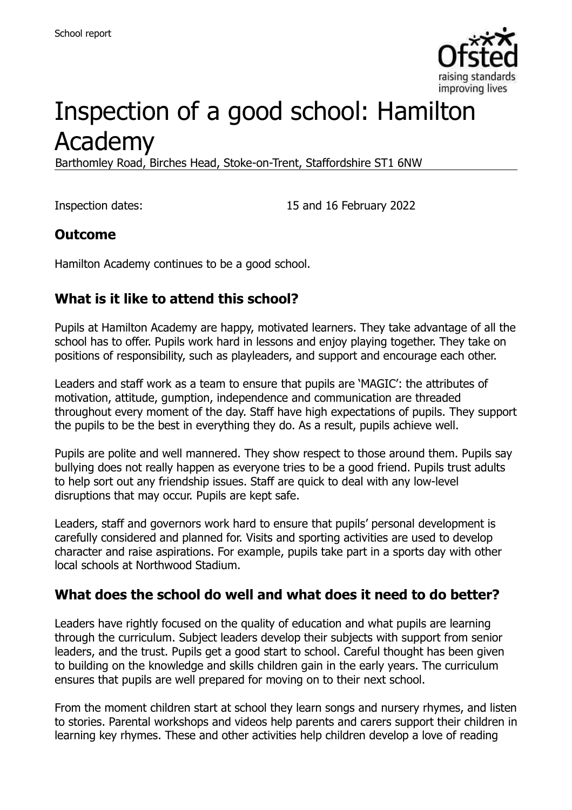

# Inspection of a good school: Hamilton Academy

Barthomley Road, Birches Head, Stoke-on-Trent, Staffordshire ST1 6NW

Inspection dates: 15 and 16 February 2022

#### **Outcome**

Hamilton Academy continues to be a good school.

# **What is it like to attend this school?**

Pupils at Hamilton Academy are happy, motivated learners. They take advantage of all the school has to offer. Pupils work hard in lessons and enjoy playing together. They take on positions of responsibility, such as playleaders, and support and encourage each other.

Leaders and staff work as a team to ensure that pupils are 'MAGIC': the attributes of motivation, attitude, gumption, independence and communication are threaded throughout every moment of the day. Staff have high expectations of pupils. They support the pupils to be the best in everything they do. As a result, pupils achieve well.

Pupils are polite and well mannered. They show respect to those around them. Pupils say bullying does not really happen as everyone tries to be a good friend. Pupils trust adults to help sort out any friendship issues. Staff are quick to deal with any low-level disruptions that may occur. Pupils are kept safe.

Leaders, staff and governors work hard to ensure that pupils' personal development is carefully considered and planned for. Visits and sporting activities are used to develop character and raise aspirations. For example, pupils take part in a sports day with other local schools at Northwood Stadium.

# **What does the school do well and what does it need to do better?**

Leaders have rightly focused on the quality of education and what pupils are learning through the curriculum. Subject leaders develop their subjects with support from senior leaders, and the trust. Pupils get a good start to school. Careful thought has been given to building on the knowledge and skills children gain in the early years. The curriculum ensures that pupils are well prepared for moving on to their next school.

From the moment children start at school they learn songs and nursery rhymes, and listen to stories. Parental workshops and videos help parents and carers support their children in learning key rhymes. These and other activities help children develop a love of reading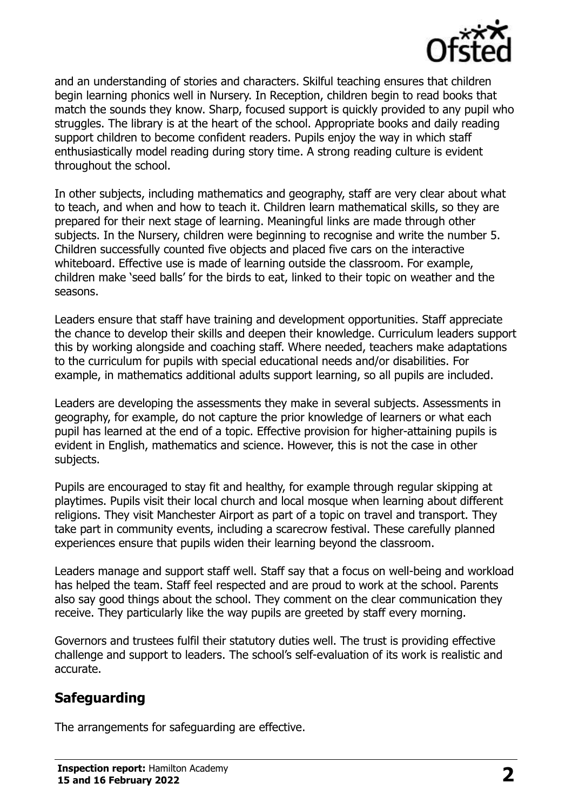

and an understanding of stories and characters. Skilful teaching ensures that children begin learning phonics well in Nursery. In Reception, children begin to read books that match the sounds they know. Sharp, focused support is quickly provided to any pupil who struggles. The library is at the heart of the school. Appropriate books and daily reading support children to become confident readers. Pupils enjoy the way in which staff enthusiastically model reading during story time. A strong reading culture is evident throughout the school.

In other subjects, including mathematics and geography, staff are very clear about what to teach, and when and how to teach it. Children learn mathematical skills, so they are prepared for their next stage of learning. Meaningful links are made through other subjects. In the Nursery, children were beginning to recognise and write the number 5. Children successfully counted five objects and placed five cars on the interactive whiteboard. Effective use is made of learning outside the classroom. For example, children make 'seed balls' for the birds to eat, linked to their topic on weather and the seasons.

Leaders ensure that staff have training and development opportunities. Staff appreciate the chance to develop their skills and deepen their knowledge. Curriculum leaders support this by working alongside and coaching staff. Where needed, teachers make adaptations to the curriculum for pupils with special educational needs and/or disabilities. For example, in mathematics additional adults support learning, so all pupils are included.

Leaders are developing the assessments they make in several subjects. Assessments in geography, for example, do not capture the prior knowledge of learners or what each pupil has learned at the end of a topic. Effective provision for higher-attaining pupils is evident in English, mathematics and science. However, this is not the case in other subjects.

Pupils are encouraged to stay fit and healthy, for example through regular skipping at playtimes. Pupils visit their local church and local mosque when learning about different religions. They visit Manchester Airport as part of a topic on travel and transport. They take part in community events, including a scarecrow festival. These carefully planned experiences ensure that pupils widen their learning beyond the classroom.

Leaders manage and support staff well. Staff say that a focus on well-being and workload has helped the team. Staff feel respected and are proud to work at the school. Parents also say good things about the school. They comment on the clear communication they receive. They particularly like the way pupils are greeted by staff every morning.

Governors and trustees fulfil their statutory duties well. The trust is providing effective challenge and support to leaders. The school's self-evaluation of its work is realistic and accurate.

# **Safeguarding**

The arrangements for safeguarding are effective.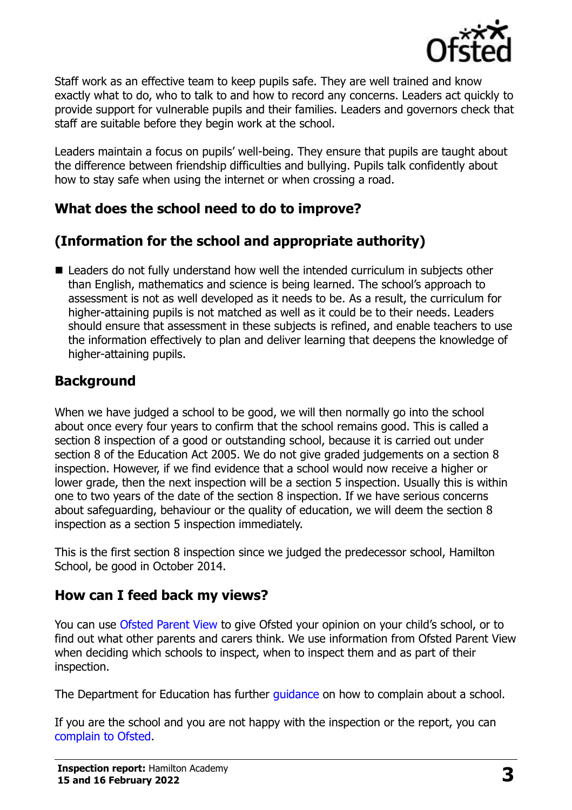

Staff work as an effective team to keep pupils safe. They are well trained and know exactly what to do, who to talk to and how to record any concerns. Leaders act quickly to provide support for vulnerable pupils and their families. Leaders and governors check that staff are suitable before they begin work at the school.

Leaders maintain a focus on pupils' well-being. They ensure that pupils are taught about the difference between friendship difficulties and bullying. Pupils talk confidently about how to stay safe when using the internet or when crossing a road.

### **What does the school need to do to improve?**

# **(Information for the school and appropriate authority)**

■ Leaders do not fully understand how well the intended curriculum in subjects other than English, mathematics and science is being learned. The school's approach to assessment is not as well developed as it needs to be. As a result, the curriculum for higher-attaining pupils is not matched as well as it could be to their needs. Leaders should ensure that assessment in these subjects is refined, and enable teachers to use the information effectively to plan and deliver learning that deepens the knowledge of higher-attaining pupils.

### **Background**

When we have judged a school to be good, we will then normally go into the school about once every four years to confirm that the school remains good. This is called a section 8 inspection of a good or outstanding school, because it is carried out under section 8 of the Education Act 2005. We do not give graded judgements on a section 8 inspection. However, if we find evidence that a school would now receive a higher or lower grade, then the next inspection will be a section 5 inspection. Usually this is within one to two years of the date of the section 8 inspection. If we have serious concerns about safeguarding, behaviour or the quality of education, we will deem the section 8 inspection as a section 5 inspection immediately.

This is the first section 8 inspection since we judged the predecessor school, Hamilton School, be good in October 2014.

#### **How can I feed back my views?**

You can use [Ofsted Parent View](https://parentview.ofsted.gov.uk/) to give Ofsted your opinion on your child's school, or to find out what other parents and carers think. We use information from Ofsted Parent View when deciding which schools to inspect, when to inspect them and as part of their inspection.

The Department for Education has further quidance on how to complain about a school.

If you are the school and you are not happy with the inspection or the report, you can [complain to Ofsted.](https://www.gov.uk/complain-ofsted-report)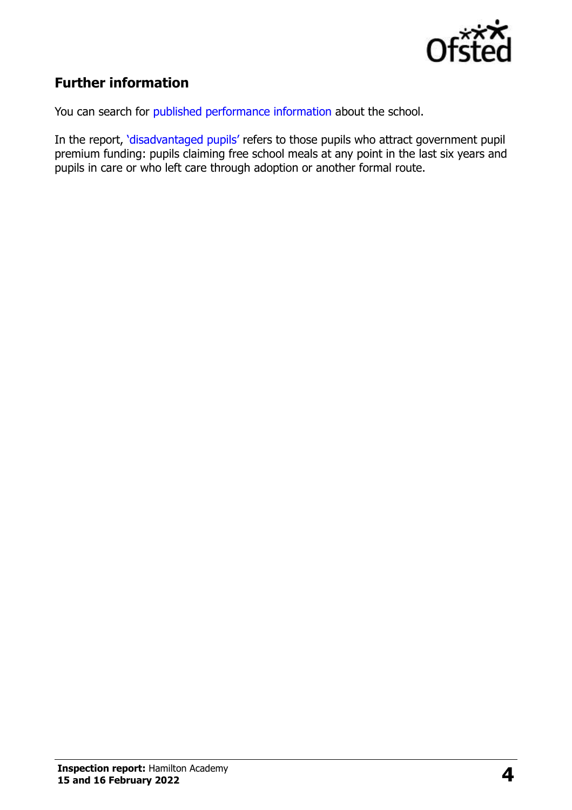

# **Further information**

You can search for [published performance information](http://www.compare-school-performance.service.gov.uk/) about the school.

In the report, '[disadvantaged pupils](http://www.gov.uk/guidance/pupil-premium-information-for-schools-and-alternative-provision-settings)' refers to those pupils who attract government pupil premium funding: pupils claiming free school meals at any point in the last six years and pupils in care or who left care through adoption or another formal route.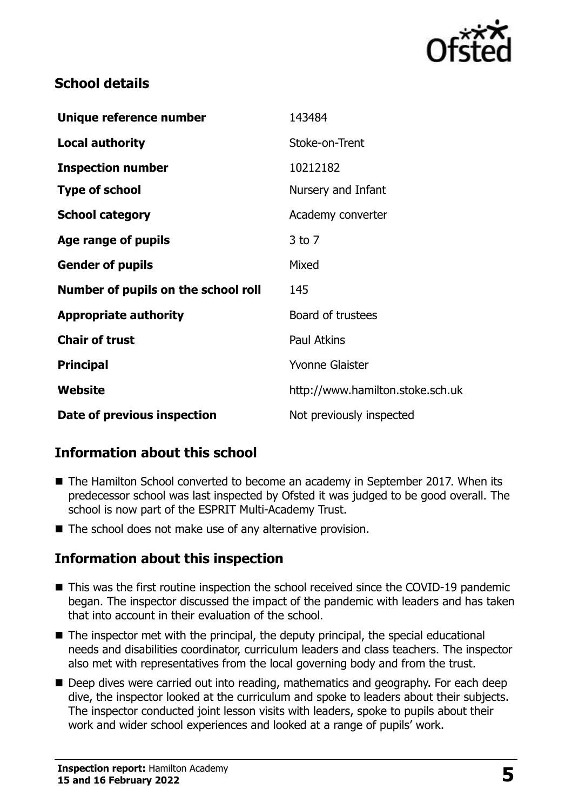

### **School details**

| Unique reference number             | 143484                           |
|-------------------------------------|----------------------------------|
| <b>Local authority</b>              | Stoke-on-Trent                   |
| <b>Inspection number</b>            | 10212182                         |
| <b>Type of school</b>               | Nursery and Infant               |
| <b>School category</b>              | Academy converter                |
| Age range of pupils                 | $3$ to $7$                       |
| <b>Gender of pupils</b>             | Mixed                            |
| Number of pupils on the school roll | 145                              |
| <b>Appropriate authority</b>        | Board of trustees                |
| <b>Chair of trust</b>               | <b>Paul Atkins</b>               |
| <b>Principal</b>                    | Yvonne Glaister                  |
| Website                             | http://www.hamilton.stoke.sch.uk |
| Date of previous inspection         | Not previously inspected         |

# **Information about this school**

- The Hamilton School converted to become an academy in September 2017. When its predecessor school was last inspected by Ofsted it was judged to be good overall. The school is now part of the ESPRIT Multi-Academy Trust.
- The school does not make use of any alternative provision.

#### **Information about this inspection**

- This was the first routine inspection the school received since the COVID-19 pandemic began. The inspector discussed the impact of the pandemic with leaders and has taken that into account in their evaluation of the school.
- The inspector met with the principal, the deputy principal, the special educational needs and disabilities coordinator, curriculum leaders and class teachers. The inspector also met with representatives from the local governing body and from the trust.
- Deep dives were carried out into reading, mathematics and geography. For each deep dive, the inspector looked at the curriculum and spoke to leaders about their subjects. The inspector conducted joint lesson visits with leaders, spoke to pupils about their work and wider school experiences and looked at a range of pupils' work.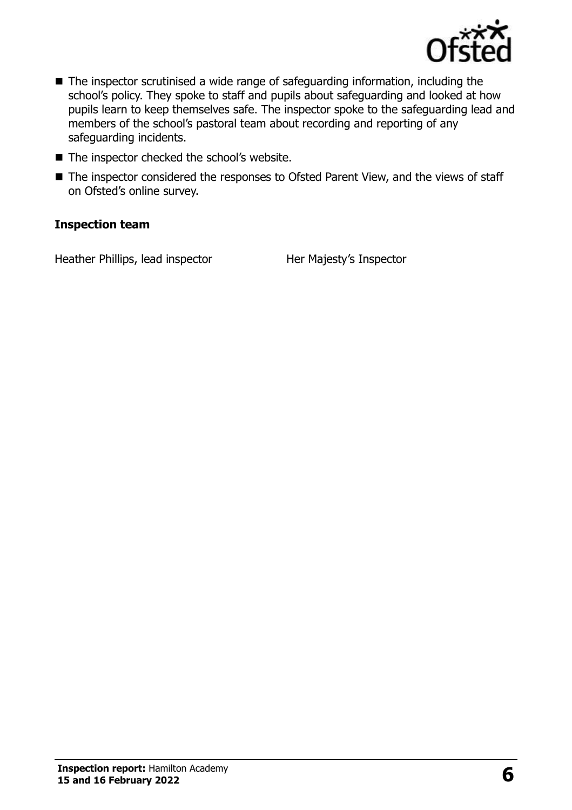

- The inspector scrutinised a wide range of safeguarding information, including the school's policy. They spoke to staff and pupils about safeguarding and looked at how pupils learn to keep themselves safe. The inspector spoke to the safeguarding lead and members of the school's pastoral team about recording and reporting of any safeguarding incidents.
- The inspector checked the school's website.
- The inspector considered the responses to Ofsted Parent View, and the views of staff on Ofsted's online survey.

#### **Inspection team**

Heather Phillips, lead inspector Her Majesty's Inspector